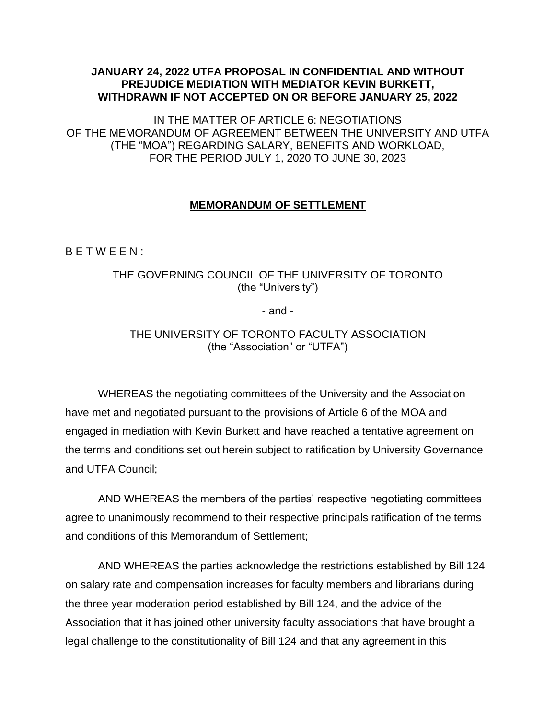#### **JANUARY 24, 2022 UTFA PROPOSAL IN CONFIDENTIAL AND WITHOUT PREJUDICE MEDIATION WITH MEDIATOR KEVIN BURKETT, WITHDRAWN IF NOT ACCEPTED ON OR BEFORE JANUARY 25, 2022**

IN THE MATTER OF ARTICLE 6: NEGOTIATIONS OF THE MEMORANDUM OF AGREEMENT BETWEEN THE UNIVERSITY AND UTFA (THE "MOA") REGARDING SALARY, BENEFITS AND WORKLOAD, FOR THE PERIOD JULY 1, 2020 TO JUNE 30, 2023

### **MEMORANDUM OF SETTLEMENT**

B E T W E E N :

### THE GOVERNING COUNCIL OF THE UNIVERSITY OF TORONTO (the "University")

- and -

### THE UNIVERSITY OF TORONTO FACULTY ASSOCIATION (the "Association" or "UTFA")

WHEREAS the negotiating committees of the University and the Association have met and negotiated pursuant to the provisions of Article 6 of the MOA and engaged in mediation with Kevin Burkett and have reached a tentative agreement on the terms and conditions set out herein subject to ratification by University Governance and UTFA Council;

AND WHEREAS the members of the parties' respective negotiating committees agree to unanimously recommend to their respective principals ratification of the terms and conditions of this Memorandum of Settlement;

AND WHEREAS the parties acknowledge the restrictions established by Bill 124 on salary rate and compensation increases for faculty members and librarians during the three year moderation period established by Bill 124, and the advice of the Association that it has joined other university faculty associations that have brought a legal challenge to the constitutionality of Bill 124 and that any agreement in this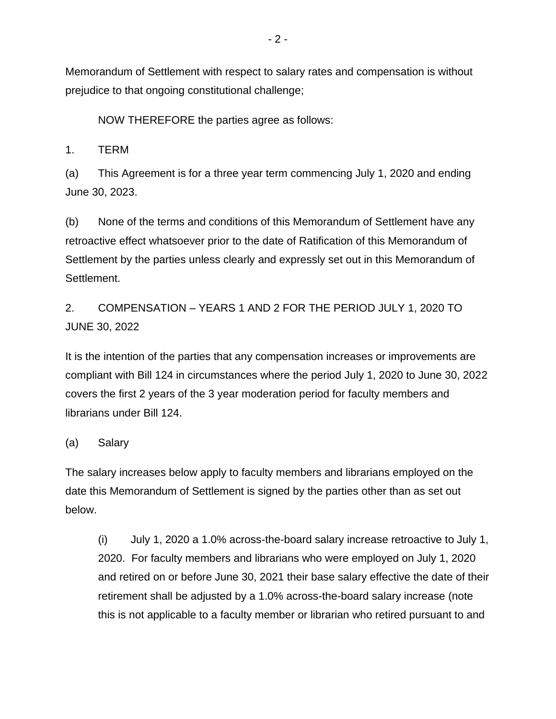Memorandum of Settlement with respect to salary rates and compensation is without prejudice to that ongoing constitutional challenge;

NOW THEREFORE the parties agree as follows:

1. TERM

(a) This Agreement is for a three year term commencing July 1, 2020 and ending June 30, 2023.

(b) None of the terms and conditions of this Memorandum of Settlement have any retroactive effect whatsoever prior to the date of Ratification of this Memorandum of Settlement by the parties unless clearly and expressly set out in this Memorandum of Settlement.

2. COMPENSATION – YEARS 1 AND 2 FOR THE PERIOD JULY 1, 2020 TO JUNE 30, 2022

It is the intention of the parties that any compensation increases or improvements are compliant with Bill 124 in circumstances where the period July 1, 2020 to June 30, 2022 covers the first 2 years of the 3 year moderation period for faculty members and librarians under Bill 124.

### (a) Salary

The salary increases below apply to faculty members and librarians employed on the date this Memorandum of Settlement is signed by the parties other than as set out below.

(i) July 1, 2020 a 1.0% across-the-board salary increase retroactive to July 1, 2020. For faculty members and librarians who were employed on July 1, 2020 and retired on or before June 30, 2021 their base salary effective the date of their retirement shall be adjusted by a 1.0% across-the-board salary increase (note this is not applicable to a faculty member or librarian who retired pursuant to and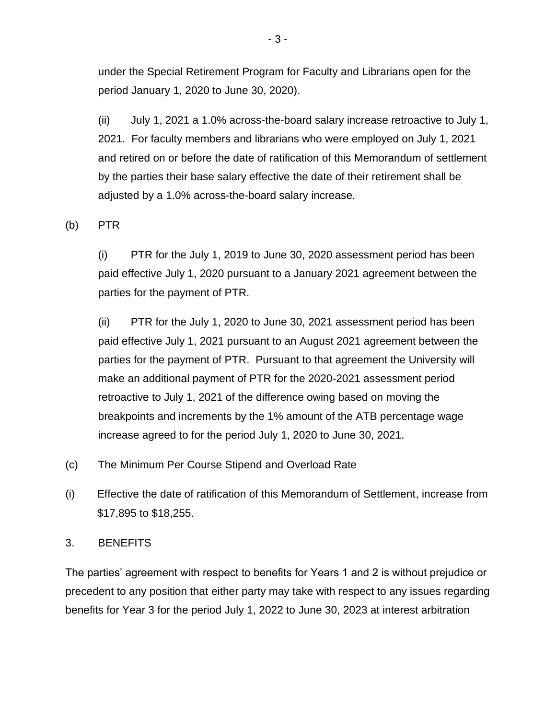under the Special Retirement Program for Faculty and Librarians open for the period January 1, 2020 to June 30, 2020).

(ii) July 1, 2021 a 1.0% across-the-board salary increase retroactive to July 1, 2021. For faculty members and librarians who were employed on July 1, 2021 and retired on or before the date of ratification of this Memorandum of settlement by the parties their base salary effective the date of their retirement shall be adjusted by a 1.0% across-the-board salary increase.

(b) PTR

(i) PTR for the July 1, 2019 to June 30, 2020 assessment period has been paid effective July 1, 2020 pursuant to a January 2021 agreement between the parties for the payment of PTR.

(ii) PTR for the July 1, 2020 to June 30, 2021 assessment period has been paid effective July 1, 2021 pursuant to an August 2021 agreement between the parties for the payment of PTR. Pursuant to that agreement the University will make an additional payment of PTR for the 2020-2021 assessment period retroactive to July 1, 2021 of the difference owing based on moving the breakpoints and increments by the 1% amount of the ATB percentage wage increase agreed to for the period July 1, 2020 to June 30, 2021.

- (c) The Minimum Per Course Stipend and Overload Rate
- (i) Effective the date of ratification of this Memorandum of Settlement, increase from \$17,895 to \$18,255.

3. BENEFITS

The parties' agreement with respect to benefits for Years 1 and 2 is without prejudice or precedent to any position that either party may take with respect to any issues regarding benefits for Year 3 for the period July 1, 2022 to June 30, 2023 at interest arbitration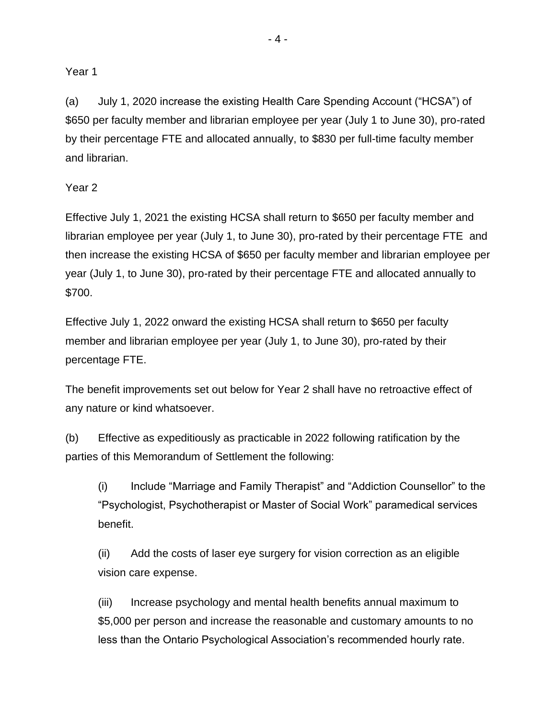#### Year 1

(a) July 1, 2020 increase the existing Health Care Spending Account ("HCSA") of \$650 per faculty member and librarian employee per year (July 1 to June 30), pro-rated by their percentage FTE and allocated annually, to \$830 per full-time faculty member and librarian.

#### Year 2

Effective July 1, 2021 the existing HCSA shall return to \$650 per faculty member and librarian employee per year (July 1, to June 30), pro-rated by their percentage FTE and then increase the existing HCSA of \$650 per faculty member and librarian employee per year (July 1, to June 30), pro-rated by their percentage FTE and allocated annually to \$700.

Effective July 1, 2022 onward the existing HCSA shall return to \$650 per faculty member and librarian employee per year (July 1, to June 30), pro-rated by their percentage FTE.

The benefit improvements set out below for Year 2 shall have no retroactive effect of any nature or kind whatsoever.

(b) Effective as expeditiously as practicable in 2022 following ratification by the parties of this Memorandum of Settlement the following:

(i) Include "Marriage and Family Therapist" and "Addiction Counsellor" to the "Psychologist, Psychotherapist or Master of Social Work" paramedical services benefit.

(ii) Add the costs of laser eye surgery for vision correction as an eligible vision care expense.

(iii) Increase psychology and mental health benefits annual maximum to \$5,000 per person and increase the reasonable and customary amounts to no less than the Ontario Psychological Association's recommended hourly rate.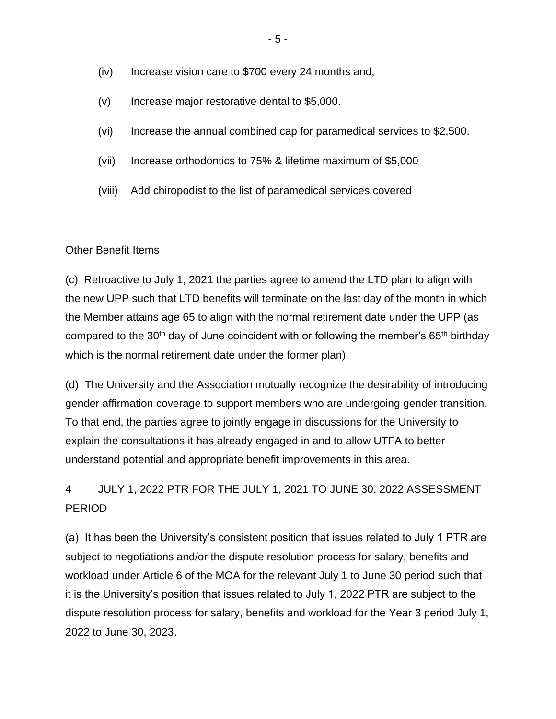- (iv) Increase vision care to \$700 every 24 months and,
- (v) Increase major restorative dental to \$5,000.
- (vi) Increase the annual combined cap for paramedical services to \$2,500.
- (vii) Increase orthodontics to 75% & lifetime maximum of \$5,000
- (viii) Add chiropodist to the list of paramedical services covered

#### Other Benefit Items

(c) Retroactive to July 1, 2021 the parties agree to amend the LTD plan to align with the new UPP such that LTD benefits will terminate on the last day of the month in which the Member attains age 65 to align with the normal retirement date under the UPP (as compared to the 30<sup>th</sup> day of June coincident with or following the member's  $65<sup>th</sup>$  birthday which is the normal retirement date under the former plan).

(d) The University and the Association mutually recognize the desirability of introducing gender affirmation coverage to support members who are undergoing gender transition. To that end, the parties agree to jointly engage in discussions for the University to explain the consultations it has already engaged in and to allow UTFA to better understand potential and appropriate benefit improvements in this area.

4 JULY 1, 2022 PTR FOR THE JULY 1, 2021 TO JUNE 30, 2022 ASSESSMENT PERIOD

(a) It has been the University's consistent position that issues related to July 1 PTR are subject to negotiations and/or the dispute resolution process for salary, benefits and workload under Article 6 of the MOA for the relevant July 1 to June 30 period such that it is the University's position that issues related to July 1, 2022 PTR are subject to the dispute resolution process for salary, benefits and workload for the Year 3 period July 1, 2022 to June 30, 2023.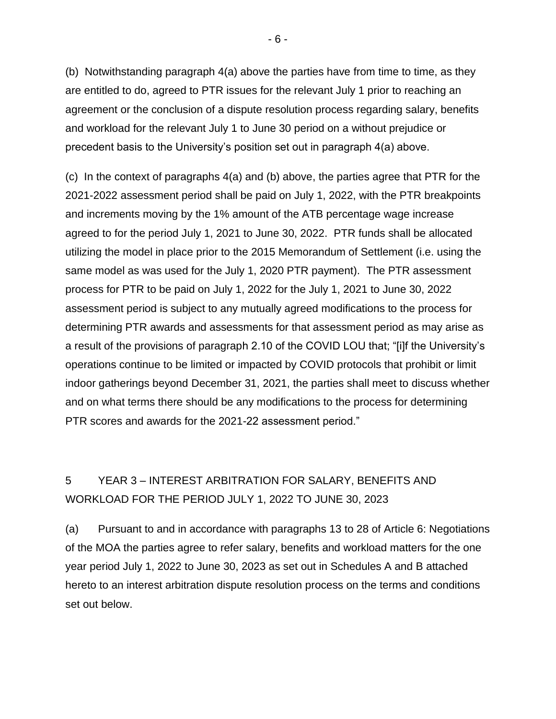(b) Notwithstanding paragraph 4(a) above the parties have from time to time, as they are entitled to do, agreed to PTR issues for the relevant July 1 prior to reaching an agreement or the conclusion of a dispute resolution process regarding salary, benefits and workload for the relevant July 1 to June 30 period on a without prejudice or precedent basis to the University's position set out in paragraph 4(a) above.

(c) In the context of paragraphs 4(a) and (b) above, the parties agree that PTR for the 2021-2022 assessment period shall be paid on July 1, 2022, with the PTR breakpoints and increments moving by the 1% amount of the ATB percentage wage increase agreed to for the period July 1, 2021 to June 30, 2022. PTR funds shall be allocated utilizing the model in place prior to the 2015 Memorandum of Settlement (i.e. using the same model as was used for the July 1, 2020 PTR payment). The PTR assessment process for PTR to be paid on July 1, 2022 for the July 1, 2021 to June 30, 2022 assessment period is subject to any mutually agreed modifications to the process for determining PTR awards and assessments for that assessment period as may arise as a result of the provisions of paragraph 2.10 of the COVID LOU that; "[i]f the University's operations continue to be limited or impacted by COVID protocols that prohibit or limit indoor gatherings beyond December 31, 2021, the parties shall meet to discuss whether and on what terms there should be any modifications to the process for determining PTR scores and awards for the 2021-22 assessment period."

# 5 YEAR 3 – INTEREST ARBITRATION FOR SALARY, BENEFITS AND WORKLOAD FOR THE PERIOD JULY 1, 2022 TO JUNE 30, 2023

(a) Pursuant to and in accordance with paragraphs 13 to 28 of Article 6: Negotiations of the MOA the parties agree to refer salary, benefits and workload matters for the one year period July 1, 2022 to June 30, 2023 as set out in Schedules A and B attached hereto to an interest arbitration dispute resolution process on the terms and conditions set out below.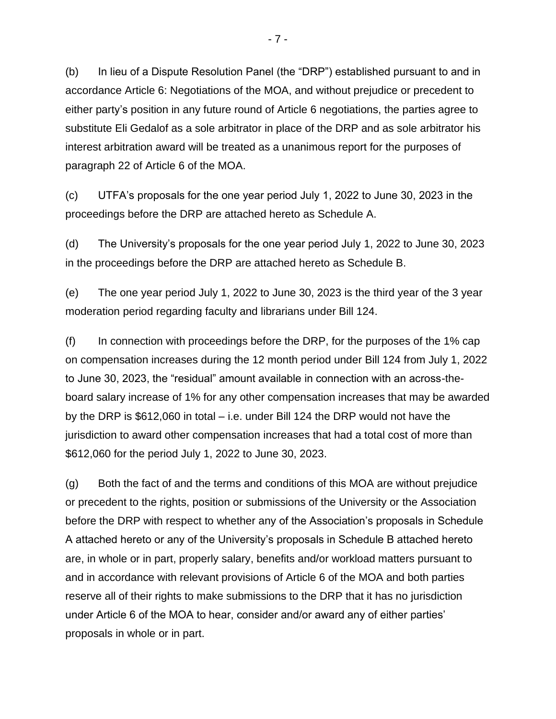(b) In lieu of a Dispute Resolution Panel (the "DRP") established pursuant to and in accordance Article 6: Negotiations of the MOA, and without prejudice or precedent to either party's position in any future round of Article 6 negotiations, the parties agree to substitute Eli Gedalof as a sole arbitrator in place of the DRP and as sole arbitrator his interest arbitration award will be treated as a unanimous report for the purposes of paragraph 22 of Article 6 of the MOA.

(c) UTFA's proposals for the one year period July 1, 2022 to June 30, 2023 in the proceedings before the DRP are attached hereto as Schedule A.

(d) The University's proposals for the one year period July 1, 2022 to June 30, 2023 in the proceedings before the DRP are attached hereto as Schedule B.

(e) The one year period July 1, 2022 to June 30, 2023 is the third year of the 3 year moderation period regarding faculty and librarians under Bill 124.

 $(f)$  In connection with proceedings before the DRP, for the purposes of the 1% cap on compensation increases during the 12 month period under Bill 124 from July 1, 2022 to June 30, 2023, the "residual" amount available in connection with an across-theboard salary increase of 1% for any other compensation increases that may be awarded by the DRP is \$612,060 in total – i.e. under Bill 124 the DRP would not have the jurisdiction to award other compensation increases that had a total cost of more than \$612,060 for the period July 1, 2022 to June 30, 2023.

(g) Both the fact of and the terms and conditions of this MOA are without prejudice or precedent to the rights, position or submissions of the University or the Association before the DRP with respect to whether any of the Association's proposals in Schedule A attached hereto or any of the University's proposals in Schedule B attached hereto are, in whole or in part, properly salary, benefits and/or workload matters pursuant to and in accordance with relevant provisions of Article 6 of the MOA and both parties reserve all of their rights to make submissions to the DRP that it has no jurisdiction under Article 6 of the MOA to hear, consider and/or award any of either parties' proposals in whole or in part.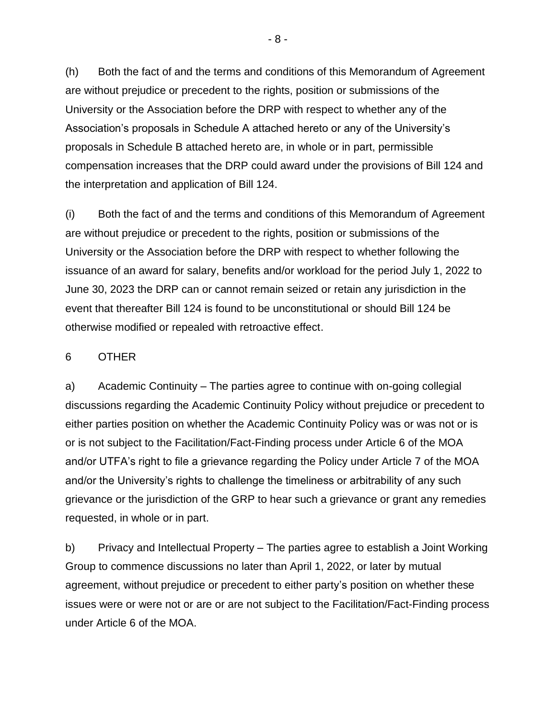(h) Both the fact of and the terms and conditions of this Memorandum of Agreement are without prejudice or precedent to the rights, position or submissions of the University or the Association before the DRP with respect to whether any of the Association's proposals in Schedule A attached hereto or any of the University's proposals in Schedule B attached hereto are, in whole or in part, permissible compensation increases that the DRP could award under the provisions of Bill 124 and the interpretation and application of Bill 124.

(i) Both the fact of and the terms and conditions of this Memorandum of Agreement are without prejudice or precedent to the rights, position or submissions of the University or the Association before the DRP with respect to whether following the issuance of an award for salary, benefits and/or workload for the period July 1, 2022 to June 30, 2023 the DRP can or cannot remain seized or retain any jurisdiction in the event that thereafter Bill 124 is found to be unconstitutional or should Bill 124 be otherwise modified or repealed with retroactive effect.

#### 6 OTHER

a) Academic Continuity – The parties agree to continue with on-going collegial discussions regarding the Academic Continuity Policy without prejudice or precedent to either parties position on whether the Academic Continuity Policy was or was not or is or is not subject to the Facilitation/Fact-Finding process under Article 6 of the MOA and/or UTFA's right to file a grievance regarding the Policy under Article 7 of the MOA and/or the University's rights to challenge the timeliness or arbitrability of any such grievance or the jurisdiction of the GRP to hear such a grievance or grant any remedies requested, in whole or in part.

b) Privacy and Intellectual Property – The parties agree to establish a Joint Working Group to commence discussions no later than April 1, 2022, or later by mutual agreement, without prejudice or precedent to either party's position on whether these issues were or were not or are or are not subject to the Facilitation/Fact-Finding process under Article 6 of the MOA.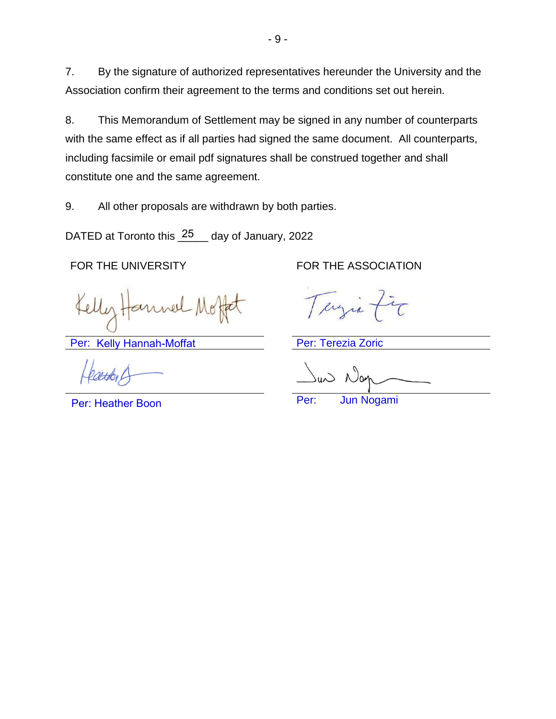7. By the signature of authorized representatives hereunder the University and the Association confirm their agreement to the terms and conditions set out herein.

8. This Memorandum of Settlement may be signed in any number of counterparts with the same effect as if all parties had signed the same document. All counterparts, including facsimile or email pdf signatures shall be construed together and shall constitute one and the same agreement.

9. All other proposals are withdrawn by both parties.

DATED at Toronto this 25 day of January, 2022

Per: Kelly Hannah-Moffat **National Per: Terezia Zoric** 

Per: Heather Boon

FOR THE UNIVERSITY FOR THE ASSOCIATION

erg

Per: Jun Nogami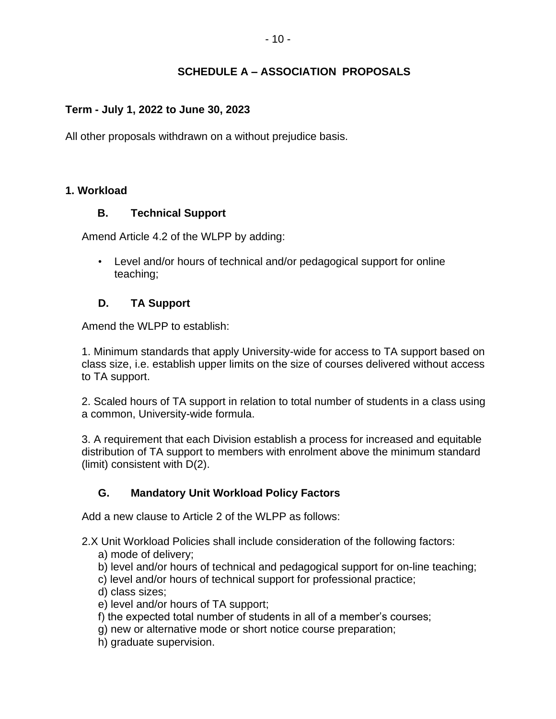### **SCHEDULE A – ASSOCIATION PROPOSALS**

#### **Term - July 1, 2022 to June 30, 2023**

All other proposals withdrawn on a without prejudice basis.

#### **1. Workload**

#### **B. Technical Support**

Amend Article 4.2 of the WLPP by adding:

• Level and/or hours of technical and/or pedagogical support for online teaching;

### **D. TA Support**

Amend the WLPP to establish:

1. Minimum standards that apply University-wide for access to TA support based on class size, i.e. establish upper limits on the size of courses delivered without access to TA support.

2. Scaled hours of TA support in relation to total number of students in a class using a common, University-wide formula.

3. A requirement that each Division establish a process for increased and equitable distribution of TA support to members with enrolment above the minimum standard (limit) consistent with D(2).

### **G. Mandatory Unit Workload Policy Factors**

Add a new clause to Article 2 of the WLPP as follows:

- 2.X Unit Workload Policies shall include consideration of the following factors:
	- a) mode of delivery;
	- b) level and/or hours of technical and pedagogical support for on-line teaching;
	- c) level and/or hours of technical support for professional practice;
	- d) class sizes;
	- e) level and/or hours of TA support;
	- f) the expected total number of students in all of a member's courses;
	- g) new or alternative mode or short notice course preparation;
	- h) graduate supervision.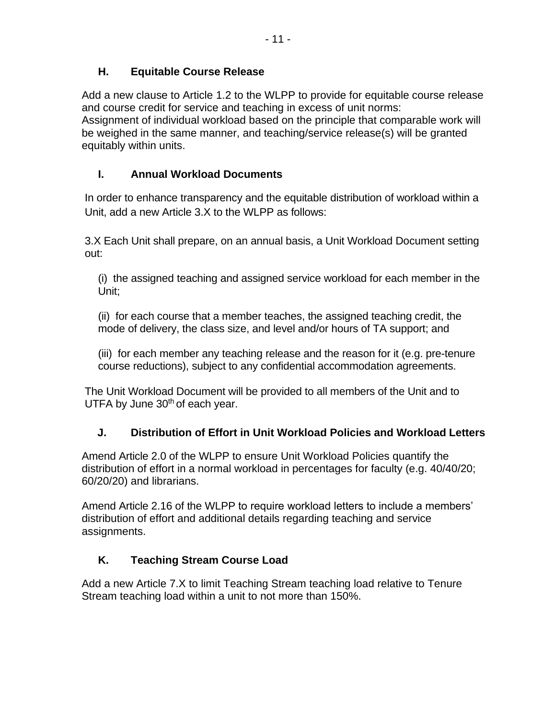Add a new clause to Article 1.2 to the WLPP to provide for equitable course release and course credit for service and teaching in excess of unit norms: Assignment of individual workload based on the principle that comparable work will be weighed in the same manner, and teaching/service release(s) will be granted equitably within units.

## **I. Annual Workload Documents**

In order to enhance transparency and the equitable distribution of workload within a Unit, add a new Article 3.X to the WLPP as follows:

3.X Each Unit shall prepare, on an annual basis, a Unit Workload Document setting out:

(i) the assigned teaching and assigned service workload for each member in the Unit;

(ii) for each course that a member teaches, the assigned teaching credit, the mode of delivery, the class size, and level and/or hours of TA support; and

(iii) for each member any teaching release and the reason for it (e.g. pre-tenure course reductions), subject to any confidential accommodation agreements.

The Unit Workload Document will be provided to all members of the Unit and to UTFA by June  $30<sup>th</sup>$  of each year.

## **J. Distribution of Effort in Unit Workload Policies and Workload Letters**

Amend Article 2.0 of the WLPP to ensure Unit Workload Policies quantify the distribution of effort in a normal workload in percentages for faculty (e.g. 40/40/20; 60/20/20) and librarians.

Amend Article 2.16 of the WLPP to require workload letters to include a members' distribution of effort and additional details regarding teaching and service assignments.

## **K. Teaching Stream Course Load**

Add a new Article 7.X to limit Teaching Stream teaching load relative to Tenure Stream teaching load within a unit to not more than 150%.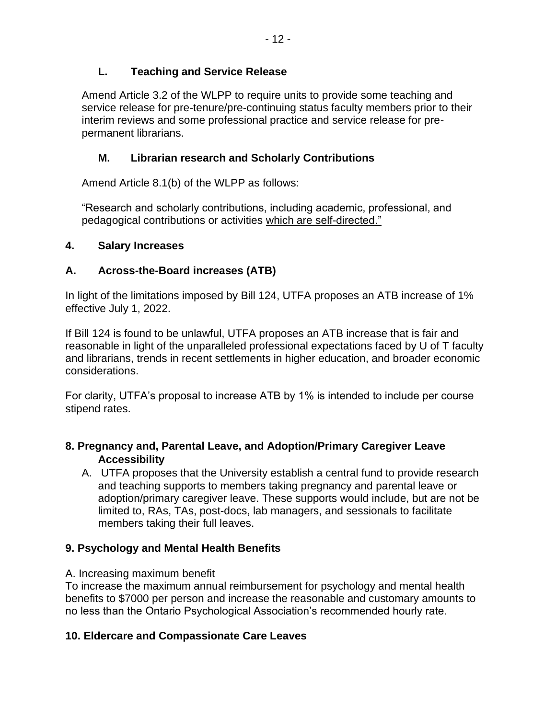Amend Article 3.2 of the WLPP to require units to provide some teaching and service release for pre-tenure/pre-continuing status faculty members prior to their interim reviews and some professional practice and service release for prepermanent librarians.

## **M. Librarian research and Scholarly Contributions**

Amend Article 8.1(b) of the WLPP as follows:

"Research and scholarly contributions, including academic, professional, and pedagogical contributions or activities which are self-directed."

## **4. Salary Increases**

## **A. Across-the-Board increases (ATB)**

In light of the limitations imposed by Bill 124, UTFA proposes an ATB increase of 1% effective July 1, 2022.

If Bill 124 is found to be unlawful, UTFA proposes an ATB increase that is fair and reasonable in light of the unparalleled professional expectations faced by U of T faculty and librarians, trends in recent settlements in higher education, and broader economic considerations.

For clarity, UTFA's proposal to increase ATB by 1% is intended to include per course stipend rates.

### **8. Pregnancy and, Parental Leave, and Adoption/Primary Caregiver Leave Accessibility**

A. UTFA proposes that the University establish a central fund to provide research and teaching supports to members taking pregnancy and parental leave or adoption/primary caregiver leave. These supports would include, but are not be limited to, RAs, TAs, post-docs, lab managers, and sessionals to facilitate members taking their full leaves.

## **9. Psychology and Mental Health Benefits**

## A. Increasing maximum benefit

To increase the maximum annual reimbursement for psychology and mental health benefits to \$7000 per person and increase the reasonable and customary amounts to no less than the Ontario Psychological Association's recommended hourly rate.

## **10. Eldercare and Compassionate Care Leaves**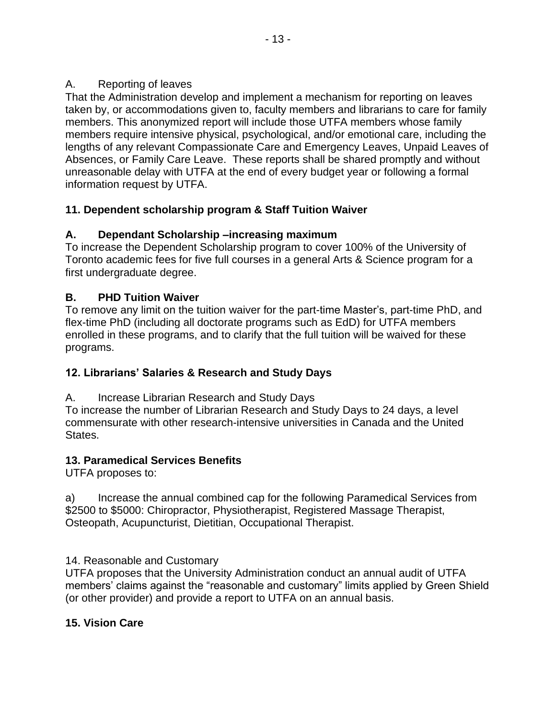### A. Reporting of leaves

That the Administration develop and implement a mechanism for reporting on leaves taken by, or accommodations given to, faculty members and librarians to care for family members. This anonymized report will include those UTFA members whose family members require intensive physical, psychological, and/or emotional care, including the lengths of any relevant Compassionate Care and Emergency Leaves, Unpaid Leaves of Absences, or Family Care Leave. These reports shall be shared promptly and without unreasonable delay with UTFA at the end of every budget year or following a formal information request by UTFA.

## **11. Dependent scholarship program & Staff Tuition Waiver**

## **A. Dependant Scholarship –increasing maximum**

To increase the Dependent Scholarship program to cover 100% of the University of Toronto academic fees for five full courses in a general Arts & Science program for a first undergraduate degree.

## **B. PHD Tuition Waiver**

To remove any limit on the tuition waiver for the part-time Master's, part-time PhD, and flex-time PhD (including all doctorate programs such as EdD) for UTFA members enrolled in these programs, and to clarify that the full tuition will be waived for these programs.

## **12. Librarians' Salaries & Research and Study Days**

A. Increase Librarian Research and Study Days

To increase the number of Librarian Research and Study Days to 24 days, a level commensurate with other research-intensive universities in Canada and the United States.

## **13. Paramedical Services Benefits**

UTFA proposes to:

a) Increase the annual combined cap for the following Paramedical Services from \$2500 to \$5000: Chiropractor, Physiotherapist, Registered Massage Therapist, Osteopath, Acupuncturist, Dietitian, Occupational Therapist.

14. Reasonable and Customary

UTFA proposes that the University Administration conduct an annual audit of UTFA members' claims against the "reasonable and customary" limits applied by Green Shield (or other provider) and provide a report to UTFA on an annual basis.

## **15. Vision Care**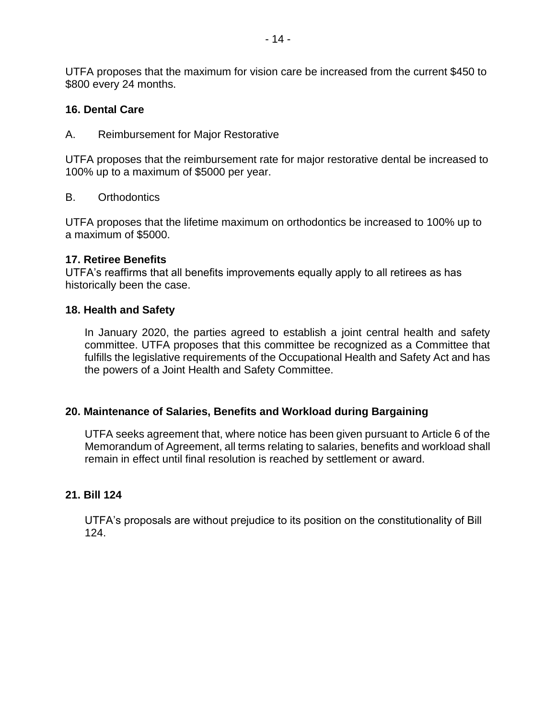UTFA proposes that the maximum for vision care be increased from the current \$450 to \$800 every 24 months.

#### **16. Dental Care**

A. Reimbursement for Major Restorative

UTFA proposes that the reimbursement rate for major restorative dental be increased to 100% up to a maximum of \$5000 per year.

#### B. Orthodontics

UTFA proposes that the lifetime maximum on orthodontics be increased to 100% up to a maximum of \$5000.

#### **17. Retiree Benefits**

UTFA's reaffirms that all benefits improvements equally apply to all retirees as has historically been the case.

#### **18. Health and Safety**

In January 2020, the parties agreed to establish a joint central health and safety committee. UTFA proposes that this committee be recognized as a Committee that fulfills the legislative requirements of the Occupational Health and Safety Act and has the powers of a Joint Health and Safety Committee.

#### **20. Maintenance of Salaries, Benefits and Workload during Bargaining**

UTFA seeks agreement that, where notice has been given pursuant to Article 6 of the Memorandum of Agreement, all terms relating to salaries, benefits and workload shall remain in effect until final resolution is reached by settlement or award.

### **21. Bill 124**

UTFA's proposals are without prejudice to its position on the constitutionality of Bill 124.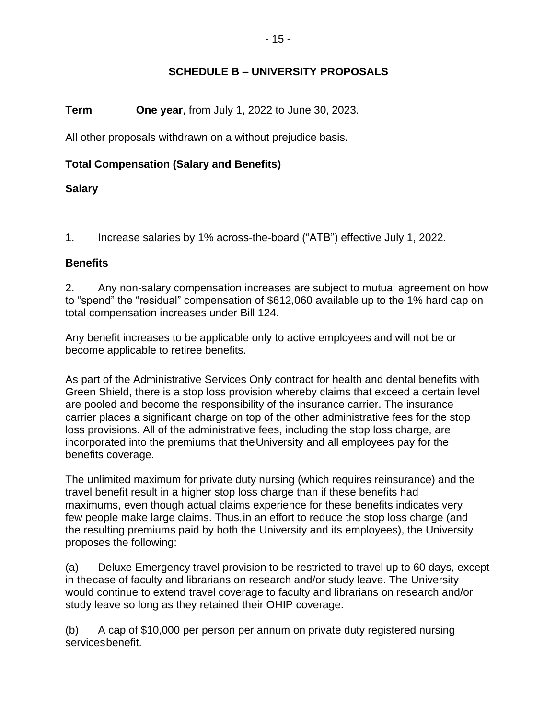### **SCHEDULE B – UNIVERSITY PROPOSALS**

#### **Term One year**, from July 1, 2022 to June 30, 2023.

All other proposals withdrawn on a without prejudice basis.

### **Total Compensation (Salary and Benefits)**

#### **Salary**

1. Increase salaries by 1% across-the-board ("ATB") effective July 1, 2022.

#### **Benefits**

2. Any non-salary compensation increases are subject to mutual agreement on how to "spend" the "residual" compensation of \$612,060 available up to the 1% hard cap on total compensation increases under Bill 124.

Any benefit increases to be applicable only to active employees and will not be or become applicable to retiree benefits.

As part of the Administrative Services Only contract for health and dental benefits with Green Shield, there is a stop loss provision whereby claims that exceed a certain level are pooled and become the responsibility of the insurance carrier. The insurance carrier places a significant charge on top of the other administrative fees for the stop loss provisions. All of the administrative fees, including the stop loss charge, are incorporated into the premiums that theUniversity and all employees pay for the benefits coverage.

The unlimited maximum for private duty nursing (which requires reinsurance) and the travel benefit result in a higher stop loss charge than if these benefits had maximums, even though actual claims experience for these benefits indicates very few people make large claims. Thus,in an effort to reduce the stop loss charge (and the resulting premiums paid by both the University and its employees), the University proposes the following:

(a) Deluxe Emergency travel provision to be restricted to travel up to 60 days, except in thecase of faculty and librarians on research and/or study leave. The University would continue to extend travel coverage to faculty and librarians on research and/or study leave so long as they retained their OHIP coverage.

(b) A cap of \$10,000 per person per annum on private duty registered nursing servicesbenefit.